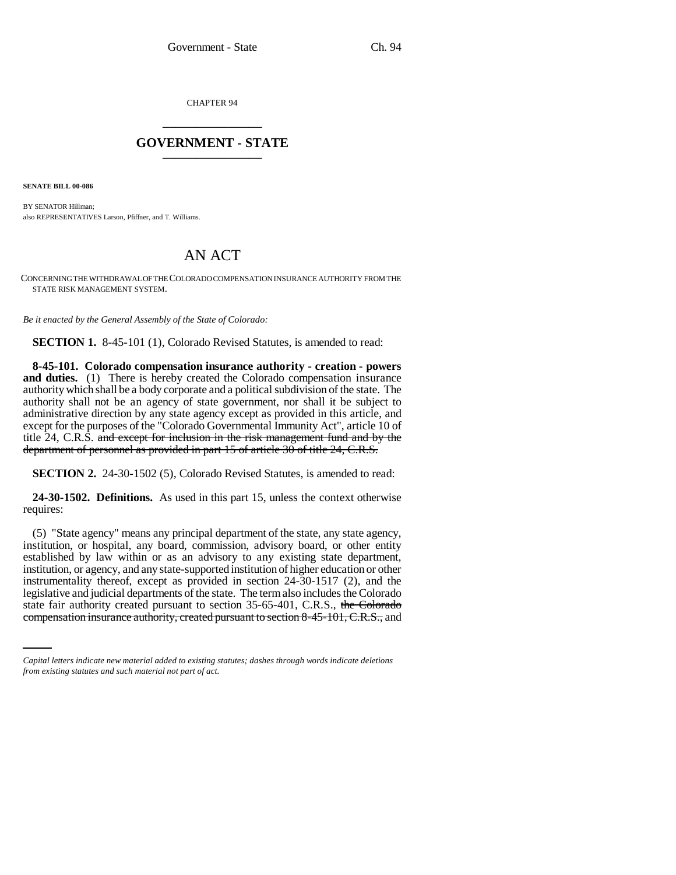CHAPTER 94 \_\_\_\_\_\_\_\_\_\_\_\_\_\_\_

## **GOVERNMENT - STATE** \_\_\_\_\_\_\_\_\_\_\_\_\_\_\_

**SENATE BILL 00-086** 

BY SENATOR Hillman; also REPRESENTATIVES Larson, Pfiffner, and T. Williams.

## AN ACT

CONCERNING THE WITHDRAWAL OF THE COLORADO COMPENSATION INSURANCE AUTHORITY FROM THE STATE RISK MANAGEMENT SYSTEM.

*Be it enacted by the General Assembly of the State of Colorado:*

**SECTION 1.** 8-45-101 (1), Colorado Revised Statutes, is amended to read:

**8-45-101. Colorado compensation insurance authority - creation - powers and duties.** (1) There is hereby created the Colorado compensation insurance authority which shall be a body corporate and a political subdivision of the state. The authority shall not be an agency of state government, nor shall it be subject to administrative direction by any state agency except as provided in this article, and except for the purposes of the "Colorado Governmental Immunity Act", article 10 of title 24, C.R.S. and except for inclusion in the risk management fund and by the department of personnel as provided in part 15 of article 30 of title 24, C.R.S.

**SECTION 2.** 24-30-1502 (5), Colorado Revised Statutes, is amended to read:

**24-30-1502. Definitions.** As used in this part 15, unless the context otherwise requires:

legislative and judicial departments of the state. The term also includes the Colorado (5) "State agency" means any principal department of the state, any state agency, institution, or hospital, any board, commission, advisory board, or other entity established by law within or as an advisory to any existing state department, institution, or agency, and any state-supported institution of higher education or other instrumentality thereof, except as provided in section 24-30-1517 (2), and the state fair authority created pursuant to section 35-65-401, C.R.S., the Colorado compensation insurance authority, created pursuant to section 8-45-101, C.R.S., and

*Capital letters indicate new material added to existing statutes; dashes through words indicate deletions from existing statutes and such material not part of act.*